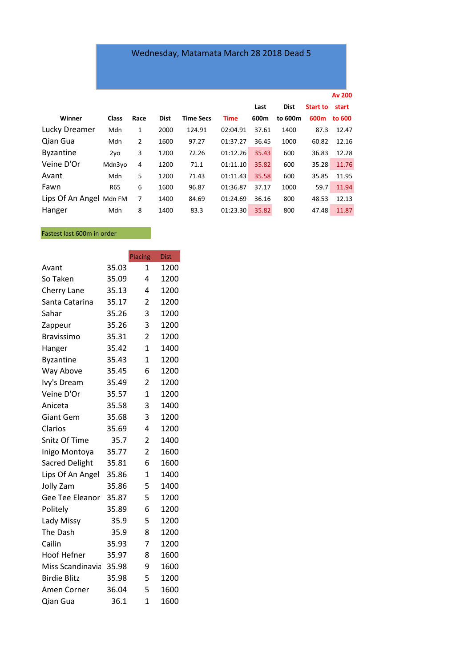## Wednesday, Matamata March 28 2018 Dead 5

|                         |                 |      |             |                  |             |       |             |                  | <b>Av 200</b> |
|-------------------------|-----------------|------|-------------|------------------|-------------|-------|-------------|------------------|---------------|
|                         |                 |      |             |                  |             | Last  | <b>Dist</b> | <b>Start to</b>  | start         |
| Winner                  | <b>Class</b>    | Race | <b>Dist</b> | <b>Time Secs</b> | <b>Time</b> | 600m  | to 600m     | 600 <sub>m</sub> | to 600        |
| Lucky Dreamer           | Mdn             | 1    | 2000        | 124.91           | 02:04.91    | 37.61 | 1400        | 87.3             | 12.47         |
| Qian Gua                | Mdn             | 2    | 1600        | 97.27            | 01:37.27    | 36.45 | 1000        | 60.82            | 12.16         |
| <b>Byzantine</b>        | 2y <sub>0</sub> | 3    | 1200        | 72.26            | 01:12.26    | 35.43 | 600         | 36.83            | 12.28         |
| Veine D'Or              | Mdn3yo          | 4    | 1200        | 71.1             | 01:11.10    | 35.82 | 600         | 35.28            | 11.76         |
| Avant                   | Mdn             | 5    | 1200        | 71.43            | 01:11.43    | 35.58 | 600         | 35.85            | 11.95         |
| Fawn                    | <b>R65</b>      | 6    | 1600        | 96.87            | 01:36.87    | 37.17 | 1000        | 59.7             | 11.94         |
| Lips Of An Angel Mdn FM |                 | 7    | 1400        | 84.69            | 01:24.69    | 36.16 | 800         | 48.53            | 12.13         |
| Hanger                  | Mdn             | 8    | 1400        | 83.3             | 01:23.30    | 35.82 | 800         | 47.48            | 11.87         |

Fastest last 600m in order

|                     |       | Placing        | <b>Dist</b> |
|---------------------|-------|----------------|-------------|
| Avant               | 35.03 | $\mathbf{1}$   | 1200        |
| So Taken            | 35.09 | 4              | 1200        |
| Cherry Lane         | 35.13 | 4              | 1200        |
| Santa Catarina      | 35.17 | 2              | 1200        |
| Sahar               | 35.26 | 3              | 1200        |
| Zappeur             | 35.26 | 3              | 1200        |
| <b>Bravissimo</b>   | 35.31 | 2              | 1200        |
| Hanger              | 35.42 | $\overline{1}$ | 1400        |
| <b>Byzantine</b>    | 35.43 | $\overline{1}$ | 1200        |
| Way Above           | 35.45 | 6              | 1200        |
| Ivy's Dream         | 35.49 | $\overline{2}$ | 1200        |
| Veine D'Or          | 35.57 | $\overline{1}$ | 1200        |
| Aniceta             | 35.58 | 3              | 1400        |
| <b>Giant Gem</b>    | 35.68 | 3              | 1200        |
| Clarios             | 35.69 | 4              | 1200        |
| Snitz Of Time       | 35.7  | $\overline{2}$ | 1400        |
| Inigo Montoya       | 35.77 | 2              | 1600        |
| Sacred Delight      | 35.81 | 6              | 1600        |
| Lips Of An Angel    | 35.86 | 1              | 1400        |
| Jolly Zam           | 35.86 | 5              | 1400        |
| Gee Tee Eleanor     | 35.87 | 5              | 1200        |
| Politely            | 35.89 | 6              | 1200        |
| Lady Missy          | 35.9  | 5              | 1200        |
| The Dash            | 35.9  | 8              | 1200        |
| Cailin              | 35.93 | 7              | 1200        |
| <b>Hoof Hefner</b>  | 35.97 | 8              | 1600        |
| Miss Scandinavia    | 35.98 | 9              | 1600        |
| <b>Birdie Blitz</b> | 35.98 | 5              | 1200        |
| Amen Corner         | 36.04 | 5              | 1600        |
| Qian Gua            | 36.1  | $\overline{1}$ | 1600        |